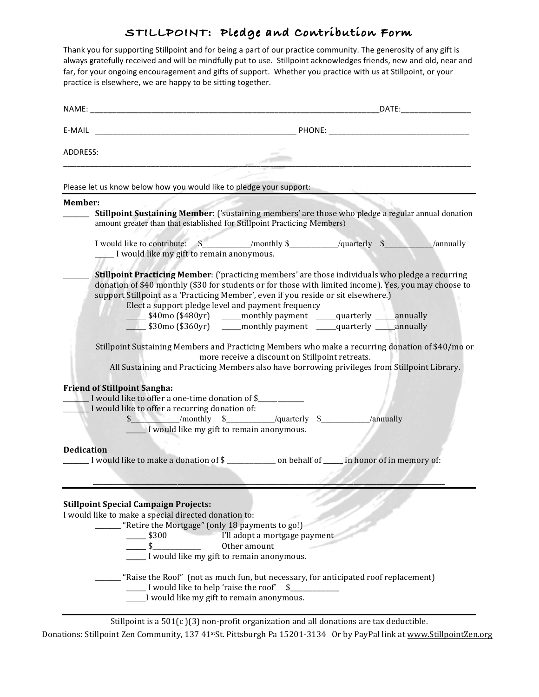# **STILLPOINT: Pledge and Contribution Form**

Thank you for supporting Stillpoint and for being a part of our practice community. The generosity of any gift is always gratefully received and will be mindfully put to use. Stillpoint acknowledges friends, new and old, near and far, for your ongoing encouragement and gifts of support. Whether you practice with us at Stillpoint, or your practice is elsewhere, we are happy to be sitting together.

| ADDRESS:                                                                                                                                                                                      |                                                                                                                                                                                                               |                               |  |                                                                                                                                                                                                   |
|-----------------------------------------------------------------------------------------------------------------------------------------------------------------------------------------------|---------------------------------------------------------------------------------------------------------------------------------------------------------------------------------------------------------------|-------------------------------|--|---------------------------------------------------------------------------------------------------------------------------------------------------------------------------------------------------|
|                                                                                                                                                                                               |                                                                                                                                                                                                               |                               |  |                                                                                                                                                                                                   |
| Please let us know below how you would like to pledge your support:                                                                                                                           |                                                                                                                                                                                                               |                               |  |                                                                                                                                                                                                   |
| Member:                                                                                                                                                                                       |                                                                                                                                                                                                               |                               |  |                                                                                                                                                                                                   |
| amount greater than that established for Stillpoint Practicing Members)                                                                                                                       |                                                                                                                                                                                                               |                               |  | <b>Stillpoint Sustaining Member:</b> ('sustaining members' are those who pledge a regular annual donation                                                                                         |
| I would like my gift to remain anonymous.                                                                                                                                                     |                                                                                                                                                                                                               |                               |  |                                                                                                                                                                                                   |
| <b>Stillpoint Practicing Member:</b> ('practicing members' are those individuals who pledge a recurring<br>support Stillpoint as a 'Practicing Member', even if you reside or sit elsewhere.) | Elect a support pledge level and payment frequency<br>_\$40mo (\$480yr)     ____monthly payment   ____quarterly ____annually<br>________\$30mo (\$360yr) _______monthly payment ______quarterly _____annually |                               |  | donation of \$40 monthly (\$30 for students or for those with limited income). Yes, you may choose to                                                                                             |
|                                                                                                                                                                                               | more receive a discount on Stillpoint retreats.                                                                                                                                                               |                               |  | Stillpoint Sustaining Members and Practicing Members who make a recurring donation of \$40/mo or<br>All Sustaining and Practicing Members also have borrowing privileges from Stillpoint Library. |
| <b>Friend of Stillpoint Sangha:</b>                                                                                                                                                           |                                                                                                                                                                                                               |                               |  |                                                                                                                                                                                                   |
| I would like to offer a one-time donation of \$                                                                                                                                               |                                                                                                                                                                                                               |                               |  |                                                                                                                                                                                                   |
| I would like to offer a recurring donation of:                                                                                                                                                |                                                                                                                                                                                                               |                               |  |                                                                                                                                                                                                   |
|                                                                                                                                                                                               | $\frac{1}{2}$ /monthly $\frac{1}{2}$ /quarterly $\frac{1}{2}$ /annually                                                                                                                                       |                               |  |                                                                                                                                                                                                   |
|                                                                                                                                                                                               | I would like my gift to remain anonymous.                                                                                                                                                                     |                               |  |                                                                                                                                                                                                   |
| <b>Dedication</b>                                                                                                                                                                             |                                                                                                                                                                                                               |                               |  |                                                                                                                                                                                                   |
| I would like to make a donation of \$                                                                                                                                                         |                                                                                                                                                                                                               |                               |  |                                                                                                                                                                                                   |
|                                                                                                                                                                                               |                                                                                                                                                                                                               |                               |  |                                                                                                                                                                                                   |
| <b>Stillpoint Special Campaign Projects:</b>                                                                                                                                                  |                                                                                                                                                                                                               |                               |  |                                                                                                                                                                                                   |
| I would like to make a special directed donation to:                                                                                                                                          | "Retire the Mortgage" (only 18 payments to go!)                                                                                                                                                               |                               |  |                                                                                                                                                                                                   |
| $\frac{1}{2}$ \$300                                                                                                                                                                           |                                                                                                                                                                                                               | I'll adopt a mortgage payment |  |                                                                                                                                                                                                   |
| $\overline{\phantom{0}}$ \$                                                                                                                                                                   | Other amount                                                                                                                                                                                                  |                               |  |                                                                                                                                                                                                   |
|                                                                                                                                                                                               | _____I would like my gift to remain anonymous.                                                                                                                                                                |                               |  |                                                                                                                                                                                                   |
|                                                                                                                                                                                               | "Raise the Roof" (not as much fun, but necessary, for anticipated roof replacement)<br>I would like to help 'raise the roof'                                                                                  | \$                            |  |                                                                                                                                                                                                   |
|                                                                                                                                                                                               | I would like my gift to remain anonymous.                                                                                                                                                                     |                               |  |                                                                                                                                                                                                   |
|                                                                                                                                                                                               |                                                                                                                                                                                                               |                               |  |                                                                                                                                                                                                   |

Stillpoint is a  $501(c)(3)$  non-profit organization and all donations are tax deductible. Donations: Stillpoint Zen Community, 137 41<sup>st</sup>St. Pittsburgh Pa 15201-3134 Or by PayPal link at www.StillpointZen.org